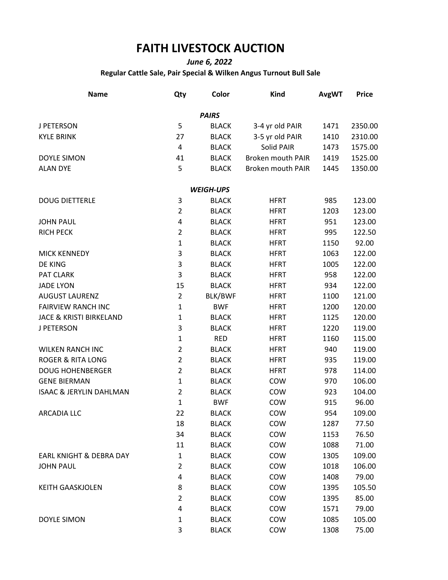## **FAITH LIVESTOCK AUCTION**

*June 6, 2022*

**Regular Cattle Sale, Pair Special & Wilken Angus Turnout Bull Sale**

| <b>Name</b>                        | Qty            | Color            | <b>Kind</b>              | <b>AvgWT</b> | <b>Price</b> |
|------------------------------------|----------------|------------------|--------------------------|--------------|--------------|
|                                    |                | <b>PAIRS</b>     |                          |              |              |
| J PETERSON                         | 5              | <b>BLACK</b>     | 3-4 yr old PAIR          | 1471         | 2350.00      |
| <b>KYLE BRINK</b>                  | 27             | <b>BLACK</b>     | 3-5 yr old PAIR          | 1410         | 2310.00      |
|                                    | 4              | <b>BLACK</b>     | Solid PAIR               | 1473         | 1575.00      |
| <b>DOYLE SIMON</b>                 | 41             | <b>BLACK</b>     | <b>Broken mouth PAIR</b> | 1419         | 1525.00      |
| <b>ALAN DYE</b>                    | 5              | <b>BLACK</b>     | <b>Broken mouth PAIR</b> | 1445         | 1350.00      |
|                                    |                | <b>WEIGH-UPS</b> |                          |              |              |
| <b>DOUG DIETTERLE</b>              | 3              | <b>BLACK</b>     | <b>HFRT</b>              | 985          | 123.00       |
|                                    | $\overline{2}$ | <b>BLACK</b>     | <b>HFRT</b>              | 1203         | 123.00       |
| <b>JOHN PAUL</b>                   | 4              | <b>BLACK</b>     | <b>HFRT</b>              | 951          | 123.00       |
| <b>RICH PECK</b>                   | $\overline{2}$ | <b>BLACK</b>     | <b>HFRT</b>              | 995          | 122.50       |
|                                    | $\mathbf{1}$   | <b>BLACK</b>     | <b>HFRT</b>              | 1150         | 92.00        |
| <b>MICK KENNEDY</b>                | 3              | <b>BLACK</b>     | <b>HFRT</b>              | 1063         | 122.00       |
| DE KING                            | 3              | <b>BLACK</b>     | <b>HFRT</b>              | 1005         | 122.00       |
| PAT CLARK                          | 3              | <b>BLACK</b>     | <b>HFRT</b>              | 958          | 122.00       |
| <b>JADE LYON</b>                   | 15             | <b>BLACK</b>     | <b>HFRT</b>              | 934          | 122.00       |
| <b>AUGUST LAURENZ</b>              | $\overline{2}$ | BLK/BWF          | <b>HFRT</b>              | 1100         | 121.00       |
| <b>FAIRVIEW RANCH INC</b>          | $\mathbf{1}$   | <b>BWF</b>       | <b>HFRT</b>              | 1200         | 120.00       |
| <b>JACE &amp; KRISTI BIRKELAND</b> | $\mathbf{1}$   | <b>BLACK</b>     | <b>HFRT</b>              | 1125         | 120.00       |
| <b>J PETERSON</b>                  | 3              | <b>BLACK</b>     | <b>HFRT</b>              | 1220         | 119.00       |
|                                    | $\mathbf{1}$   | <b>RED</b>       | <b>HFRT</b>              | 1160         | 115.00       |
| <b>WILKEN RANCH INC</b>            | $\overline{2}$ | <b>BLACK</b>     | <b>HFRT</b>              | 940          | 119.00       |
| <b>ROGER &amp; RITA LONG</b>       | $\overline{2}$ | <b>BLACK</b>     | <b>HFRT</b>              | 935          | 119.00       |
| <b>DOUG HOHENBERGER</b>            | $\overline{2}$ | <b>BLACK</b>     | <b>HFRT</b>              | 978          | 114.00       |
| <b>GENE BIERMAN</b>                | $\mathbf{1}$   | <b>BLACK</b>     | COW                      | 970          | 106.00       |
| <b>ISAAC &amp; JERYLIN DAHLMAN</b> | $\overline{2}$ | <b>BLACK</b>     | COW                      | 923          | 104.00       |
|                                    | $\mathbf{1}$   | <b>BWF</b>       | COW                      | 915          | 96.00        |
| <b>ARCADIA LLC</b>                 | 22             | <b>BLACK</b>     | COW                      | 954          | 109.00       |
|                                    | 18             | <b>BLACK</b>     | COW                      | 1287         | 77.50        |
|                                    | 34             | <b>BLACK</b>     | COW                      | 1153         | 76.50        |
|                                    | 11             | <b>BLACK</b>     | COW                      | 1088         | 71.00        |
| EARL KNIGHT & DEBRA DAY            | $\mathbf{1}$   | <b>BLACK</b>     | COW                      | 1305         | 109.00       |
| <b>JOHN PAUL</b>                   | 2              | <b>BLACK</b>     | COW                      | 1018         | 106.00       |
|                                    | 4              | <b>BLACK</b>     | COW                      | 1408         | 79.00        |
| <b>KEITH GAASKJOLEN</b>            | 8              | <b>BLACK</b>     | COW                      | 1395         | 105.50       |
|                                    | $\overline{2}$ | <b>BLACK</b>     | COW                      | 1395         | 85.00        |
|                                    | 4              | <b>BLACK</b>     | COW                      | 1571         | 79.00        |
| <b>DOYLE SIMON</b>                 | 1              | <b>BLACK</b>     | COW                      | 1085         | 105.00       |
|                                    | 3              | <b>BLACK</b>     | COW                      | 1308         | 75.00        |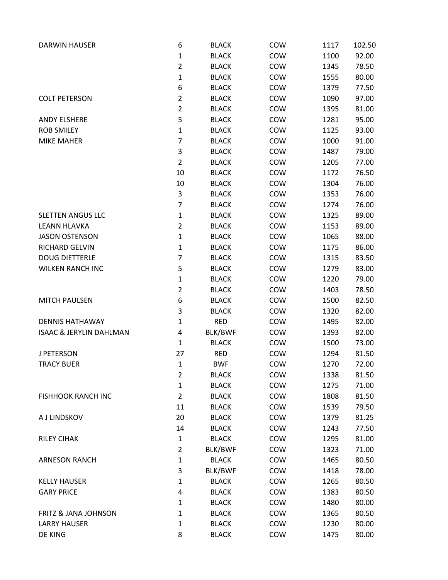| <b>DARWIN HAUSER</b>               | 6              | <b>BLACK</b> | COW | 1117 | 102.50 |
|------------------------------------|----------------|--------------|-----|------|--------|
|                                    | $\mathbf{1}$   | <b>BLACK</b> | COW | 1100 | 92.00  |
|                                    | $\overline{2}$ | <b>BLACK</b> | COW | 1345 | 78.50  |
|                                    | $\mathbf{1}$   | <b>BLACK</b> | COW | 1555 | 80.00  |
|                                    | 6              | <b>BLACK</b> | COW | 1379 | 77.50  |
| <b>COLT PETERSON</b>               | $\overline{2}$ | <b>BLACK</b> | COW | 1090 | 97.00  |
|                                    | $\overline{2}$ | <b>BLACK</b> | COW | 1395 | 81.00  |
| <b>ANDY ELSHERE</b>                | 5              | <b>BLACK</b> | COW | 1281 | 95.00  |
| <b>ROB SMILEY</b>                  | $\mathbf{1}$   | <b>BLACK</b> | COW | 1125 | 93.00  |
| <b>MIKE MAHER</b>                  | $\overline{7}$ | <b>BLACK</b> | COW | 1000 | 91.00  |
|                                    | 3              | <b>BLACK</b> | COW | 1487 | 79.00  |
|                                    | $\overline{2}$ | <b>BLACK</b> | COW | 1205 | 77.00  |
|                                    | 10             | <b>BLACK</b> | COW | 1172 | 76.50  |
|                                    | 10             | <b>BLACK</b> | COW | 1304 | 76.00  |
|                                    | 3              | <b>BLACK</b> | COW | 1353 | 76.00  |
|                                    | $\overline{7}$ | <b>BLACK</b> | COW | 1274 | 76.00  |
| <b>SLETTEN ANGUS LLC</b>           | $\mathbf{1}$   | <b>BLACK</b> | COW | 1325 | 89.00  |
| <b>LEANN HLAVKA</b>                | $\overline{2}$ | <b>BLACK</b> | COW | 1153 | 89.00  |
| <b>JASON OSTENSON</b>              | $\mathbf{1}$   | <b>BLACK</b> | COW | 1065 | 88.00  |
| <b>RICHARD GELVIN</b>              | $\mathbf{1}$   | <b>BLACK</b> | COW | 1175 | 86.00  |
| <b>DOUG DIETTERLE</b>              | 7              | <b>BLACK</b> | COW | 1315 | 83.50  |
| <b>WILKEN RANCH INC</b>            | 5              | <b>BLACK</b> | COW | 1279 | 83.00  |
|                                    | $\mathbf{1}$   | <b>BLACK</b> | COW | 1220 | 79.00  |
|                                    | $\overline{2}$ | <b>BLACK</b> | COW | 1403 | 78.50  |
| <b>MITCH PAULSEN</b>               | 6              | <b>BLACK</b> | COW | 1500 | 82.50  |
|                                    | 3              | <b>BLACK</b> | COW | 1320 | 82.00  |
| <b>DENNIS HATHAWAY</b>             | $\mathbf{1}$   | <b>RED</b>   | COW | 1495 | 82.00  |
| <b>ISAAC &amp; JERYLIN DAHLMAN</b> | 4              | BLK/BWF      | COW | 1393 | 82.00  |
|                                    | $\mathbf{1}$   | <b>BLACK</b> | COW | 1500 | 73.00  |
| <b>J PETERSON</b>                  | 27             | <b>RED</b>   | COW | 1294 | 81.50  |
| <b>TRACY BUER</b>                  | $\mathbf{1}$   | <b>BWF</b>   | COW | 1270 | 72.00  |
|                                    | $\overline{2}$ | <b>BLACK</b> | COW | 1338 | 81.50  |
|                                    | $\mathbf{1}$   | <b>BLACK</b> | COW | 1275 | 71.00  |
| <b>FISHHOOK RANCH INC</b>          | $\overline{2}$ | <b>BLACK</b> | COW | 1808 | 81.50  |
|                                    | 11             | <b>BLACK</b> | COW | 1539 | 79.50  |
| A J LINDSKOV                       | 20             | <b>BLACK</b> | COW | 1379 | 81.25  |
|                                    | 14             | <b>BLACK</b> | COW | 1243 | 77.50  |
| <b>RILEY CIHAK</b>                 | $\mathbf{1}$   | <b>BLACK</b> | COW | 1295 | 81.00  |
|                                    | $\overline{2}$ | BLK/BWF      | COW | 1323 | 71.00  |
| <b>ARNESON RANCH</b>               | $\mathbf{1}$   | <b>BLACK</b> | COW | 1465 | 80.50  |
|                                    | 3              | BLK/BWF      | COW | 1418 | 78.00  |
| <b>KELLY HAUSER</b>                | $\mathbf{1}$   | <b>BLACK</b> | COW | 1265 | 80.50  |
| <b>GARY PRICE</b>                  | 4              | <b>BLACK</b> | COW | 1383 | 80.50  |
|                                    | $\mathbf{1}$   | <b>BLACK</b> | COW | 1480 | 80.00  |
| <b>FRITZ &amp; JANA JOHNSON</b>    | $\mathbf{1}$   | <b>BLACK</b> | COW | 1365 | 80.50  |
| <b>LARRY HAUSER</b>                | $\mathbf{1}$   | <b>BLACK</b> | COW | 1230 | 80.00  |
| DE KING                            | 8              | <b>BLACK</b> | COW | 1475 | 80.00  |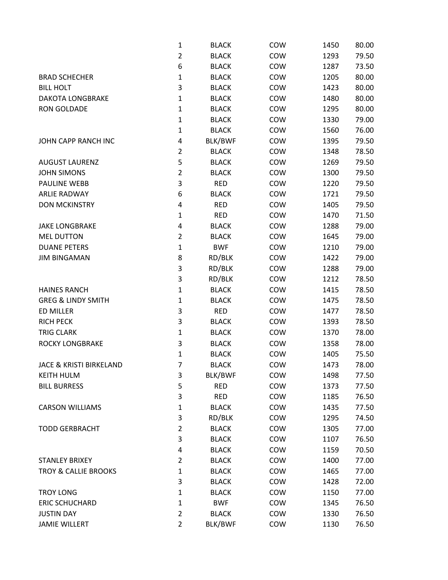|                                    | $\mathbf{1}$   | <b>BLACK</b>   | COW | 1450 | 80.00 |
|------------------------------------|----------------|----------------|-----|------|-------|
|                                    | $\overline{2}$ | <b>BLACK</b>   | COW | 1293 | 79.50 |
|                                    | 6              | <b>BLACK</b>   | COW | 1287 | 73.50 |
| <b>BRAD SCHECHER</b>               | $\mathbf{1}$   | <b>BLACK</b>   | COW | 1205 | 80.00 |
| <b>BILL HOLT</b>                   | 3              | <b>BLACK</b>   | COW | 1423 | 80.00 |
| <b>DAKOTA LONGBRAKE</b>            | $\mathbf{1}$   | <b>BLACK</b>   | COW | 1480 | 80.00 |
| <b>RON GOLDADE</b>                 | $\mathbf{1}$   | <b>BLACK</b>   | COW | 1295 | 80.00 |
|                                    | 1              | <b>BLACK</b>   | COW | 1330 | 79.00 |
|                                    | $\mathbf{1}$   | <b>BLACK</b>   | COW | 1560 | 76.00 |
| JOHN CAPP RANCH INC                | 4              | <b>BLK/BWF</b> | COW | 1395 | 79.50 |
|                                    | $\overline{2}$ | <b>BLACK</b>   | COW | 1348 | 78.50 |
| <b>AUGUST LAURENZ</b>              | 5              | <b>BLACK</b>   | COW | 1269 | 79.50 |
| <b>JOHN SIMONS</b>                 | $\overline{2}$ | <b>BLACK</b>   | COW | 1300 | 79.50 |
| <b>PAULINE WEBB</b>                | 3              | <b>RED</b>     | COW | 1220 | 79.50 |
| <b>ARLIE RADWAY</b>                | 6              | <b>BLACK</b>   | COW | 1721 | 79.50 |
| <b>DON MCKINSTRY</b>               | 4              | <b>RED</b>     | COW | 1405 | 79.50 |
|                                    | $\mathbf{1}$   | <b>RED</b>     | COW | 1470 | 71.50 |
| <b>JAKE LONGBRAKE</b>              | 4              | <b>BLACK</b>   | COW | 1288 | 79.00 |
| <b>MEL DUTTON</b>                  | $\overline{2}$ | <b>BLACK</b>   | COW | 1645 | 79.00 |
| <b>DUANE PETERS</b>                | $\mathbf{1}$   | <b>BWF</b>     | COW | 1210 | 79.00 |
| <b>JIM BINGAMAN</b>                | 8              | RD/BLK         | COW | 1422 | 79.00 |
|                                    | 3              | RD/BLK         | COW | 1288 | 79.00 |
|                                    | 3              | RD/BLK         | COW | 1212 | 78.50 |
| <b>HAINES RANCH</b>                | $\mathbf{1}$   | <b>BLACK</b>   | COW | 1415 | 78.50 |
| <b>GREG &amp; LINDY SMITH</b>      | $\mathbf{1}$   | <b>BLACK</b>   | COW | 1475 | 78.50 |
| <b>ED MILLER</b>                   | 3              | <b>RED</b>     | COW | 1477 | 78.50 |
| <b>RICH PECK</b>                   | 3              | <b>BLACK</b>   | COW | 1393 | 78.50 |
| <b>TRIG CLARK</b>                  | $\mathbf{1}$   | <b>BLACK</b>   | COW | 1370 | 78.00 |
| ROCKY LONGBRAKE                    | 3              | <b>BLACK</b>   | COW | 1358 | 78.00 |
|                                    | $\mathbf{1}$   | <b>BLACK</b>   | COW | 1405 | 75.50 |
| <b>JACE &amp; KRISTI BIRKELAND</b> | 7              | <b>BLACK</b>   | COW | 1473 | 78.00 |
| <b>KEITH HULM</b>                  | 3              | BLK/BWF        | COW | 1498 | 77.50 |
| <b>BILL BURRESS</b>                | 5              | <b>RED</b>     | COW | 1373 | 77.50 |
|                                    | 3              | <b>RED</b>     | COW | 1185 | 76.50 |
| <b>CARSON WILLIAMS</b>             | $\mathbf 1$    | <b>BLACK</b>   | COW | 1435 | 77.50 |
|                                    | 3              | RD/BLK         | COW | 1295 | 74.50 |
| <b>TODD GERBRACHT</b>              | $\overline{2}$ | <b>BLACK</b>   | COW | 1305 | 77.00 |
|                                    | 3              | <b>BLACK</b>   | COW | 1107 | 76.50 |
|                                    | 4              | <b>BLACK</b>   | COW | 1159 | 70.50 |
| <b>STANLEY BRIXEY</b>              | $\overline{2}$ | <b>BLACK</b>   | COW | 1400 | 77.00 |
| <b>TROY &amp; CALLIE BROOKS</b>    | 1              | <b>BLACK</b>   | COW | 1465 | 77.00 |
|                                    | 3              | <b>BLACK</b>   | COW | 1428 | 72.00 |
| <b>TROY LONG</b>                   | $\mathbf{1}$   | <b>BLACK</b>   | COW | 1150 | 77.00 |
| <b>ERIC SCHUCHARD</b>              | $\mathbf{1}$   | <b>BWF</b>     | COW | 1345 | 76.50 |
| <b>JUSTIN DAY</b>                  | $\overline{2}$ | <b>BLACK</b>   | COW | 1330 | 76.50 |
| <b>JAMIE WILLERT</b>               | $\overline{2}$ | BLK/BWF        | COW | 1130 | 76.50 |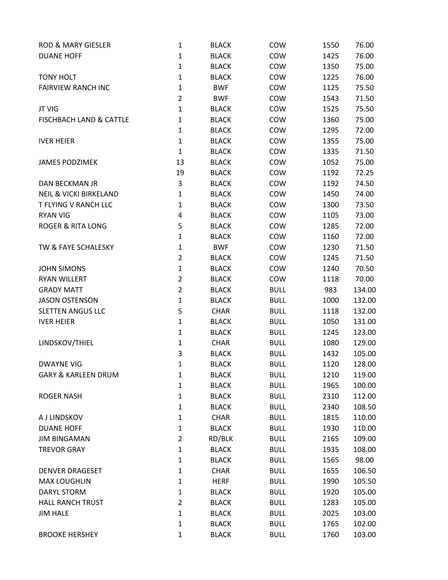| <b>ROD &amp; MARY GIESLER</b>      | $\mathbf{1}$   | <b>BLACK</b> | COW         | 1550 | 76.00  |
|------------------------------------|----------------|--------------|-------------|------|--------|
| <b>DUANE HOFF</b>                  | $\mathbf{1}$   | <b>BLACK</b> | COW         | 1425 | 76.00  |
|                                    | $\mathbf{1}$   | <b>BLACK</b> | COW         | 1350 | 75.00  |
| <b>TONY HOLT</b>                   | $\mathbf{1}$   | <b>BLACK</b> | COW         | 1225 | 76.00  |
| <b>FAIRVIEW RANCH INC</b>          | $\mathbf{1}$   | <b>BWF</b>   | COW         | 1125 | 75.50  |
|                                    | $\overline{2}$ | <b>BWF</b>   | COW         | 1543 | 71.50  |
| <b>JT VIG</b>                      | $\mathbf{1}$   | <b>BLACK</b> | COW         | 1525 | 75.50  |
| <b>FISCHBACH LAND &amp; CATTLE</b> | $\mathbf{1}$   | <b>BLACK</b> | COW         | 1360 | 75.00  |
|                                    | 1              | <b>BLACK</b> | COW         | 1295 | 72.00  |
| <b>IVER HEIER</b>                  | $\mathbf{1}$   | <b>BLACK</b> | COW         | 1355 | 75.00  |
|                                    | $\mathbf{1}$   | <b>BLACK</b> | COW         | 1335 | 71.50  |
| <b>JAMES PODZIMEK</b>              | 13             | <b>BLACK</b> | COW         | 1052 | 75.00  |
|                                    | 19             | <b>BLACK</b> | COW         | 1192 | 72.25  |
| <b>DAN BECKMAN JR</b>              | 3              | <b>BLACK</b> | COW         | 1192 | 74.50  |
| <b>NEIL &amp; VICKI BIRKELAND</b>  | $\mathbf{1}$   | <b>BLACK</b> | COW         | 1450 | 74.00  |
| T FLYING V RANCH LLC               | $\mathbf{1}$   | <b>BLACK</b> | COW         | 1300 | 73.50  |
| <b>RYAN VIG</b>                    | 4              | <b>BLACK</b> | COW         | 1105 | 73.00  |
| <b>ROGER &amp; RITA LONG</b>       | 5              | <b>BLACK</b> | COW         | 1285 | 72.00  |
|                                    | $\mathbf{1}$   | <b>BLACK</b> | COW         | 1160 | 72.00  |
| TW & FAYE SCHALESKY                | $\mathbf{1}$   | <b>BWF</b>   | COW         | 1230 | 71.50  |
|                                    | $\overline{2}$ | <b>BLACK</b> | COW         | 1245 | 71.50  |
| <b>JOHN SIMONS</b>                 | $\mathbf 1$    | <b>BLACK</b> | COW         | 1240 | 70.50  |
| <b>RYAN WILLERT</b>                | $\overline{2}$ | <b>BLACK</b> | COW         | 1118 | 70.00  |
| <b>GRADY MATT</b>                  | $\overline{2}$ | <b>BLACK</b> | <b>BULL</b> | 983  | 134.00 |
| <b>JASON OSTENSON</b>              | $\mathbf{1}$   | <b>BLACK</b> | <b>BULL</b> | 1000 | 132.00 |
| <b>SLETTEN ANGUS LLC</b>           | 5              | <b>CHAR</b>  | <b>BULL</b> | 1118 | 132.00 |
| <b>IVER HEIER</b>                  | $\mathbf{1}$   | <b>BLACK</b> | <b>BULL</b> | 1050 | 131.00 |
|                                    | 1              | <b>BLACK</b> | <b>BULL</b> | 1245 | 123.00 |
| LINDSKOV/THIEL                     | $\mathbf{1}$   | <b>CHAR</b>  | <b>BULL</b> | 1080 | 129.00 |
|                                    | 3              | <b>BLACK</b> | <b>BULL</b> | 1432 | 105.00 |
| <b>DWAYNE VIG</b>                  | 1              | <b>BLACK</b> | <b>BULL</b> | 1120 | 128.00 |
| <b>GARY &amp; KARLEEN DRUM</b>     | $\mathbf{1}$   | <b>BLACK</b> | <b>BULL</b> | 1210 | 119.00 |
|                                    | $\mathbf{1}$   | <b>BLACK</b> | <b>BULL</b> | 1965 | 100.00 |
| <b>ROGER NASH</b>                  | $\mathbf 1$    | <b>BLACK</b> | <b>BULL</b> | 2310 | 112.00 |
|                                    | $\mathbf{1}$   | <b>BLACK</b> | <b>BULL</b> | 2340 | 108.50 |
| A J LINDSKOV                       | $\mathbf{1}$   | <b>CHAR</b>  | <b>BULL</b> | 1815 | 110.00 |
| <b>DUANE HOFF</b>                  | $\mathbf{1}$   | <b>BLACK</b> | <b>BULL</b> | 1930 | 110.00 |
| <b>JIM BINGAMAN</b>                | $\overline{2}$ | RD/BLK       | <b>BULL</b> | 2165 | 109.00 |
| <b>TREVOR GRAY</b>                 | $\mathbf{1}$   | <b>BLACK</b> | <b>BULL</b> | 1935 | 108.00 |
|                                    | $\mathbf{1}$   | <b>BLACK</b> | <b>BULL</b> | 1565 | 98.00  |
| <b>DENVER DRAGESET</b>             | $\mathbf{1}$   | <b>CHAR</b>  | <b>BULL</b> | 1655 | 106.50 |
| <b>MAX LOUGHLIN</b>                | 1              | <b>HERF</b>  | <b>BULL</b> | 1990 | 105.50 |
| DARYL STORM                        | $\mathbf{1}$   | <b>BLACK</b> | <b>BULL</b> | 1920 | 105.00 |
| <b>HALL RANCH TRUST</b>            | $\overline{2}$ | <b>BLACK</b> | <b>BULL</b> | 1283 | 105.00 |
| <b>JIM HALE</b>                    | $\mathbf{1}$   | <b>BLACK</b> | <b>BULL</b> | 2025 | 103.00 |
|                                    | $\mathbf{1}$   | <b>BLACK</b> | <b>BULL</b> | 1765 | 102.00 |
| <b>BROOKE HERSHEY</b>              | $\mathbf 1$    | <b>BLACK</b> | <b>BULL</b> | 1760 | 103.00 |